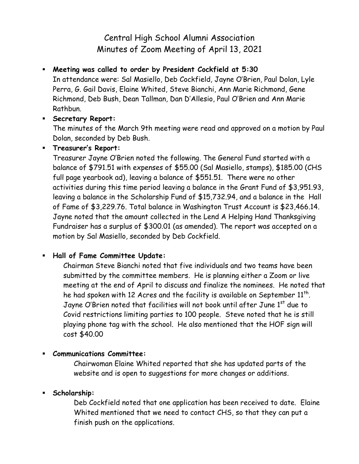# Central High School Alumni Association Minutes of Zoom Meeting of April 13, 2021

## **Meeting was called to order by President Cockfield at 5:30**

In attendance were: Sal Masiello, Deb Cockfield, Jayne O'Brien, Paul Dolan, Lyle Perra, G. Gail Davis, Elaine Whited, Steve Bianchi, Ann Marie Richmond, Gene Richmond, Deb Bush, Dean Tallman, Dan D'Allesio, Paul O'Brien and Ann Marie Rathbun.

#### **Secretary Report:**

The minutes of the March 9th meeting were read and approved on a motion by Paul Dolan, seconded by Deb Bush.

#### **Treasurer's Report:**

Treasurer Jayne O'Brien noted the following. The General Fund started with a balance of \$791.51 with expenses of \$55.00 (Sal Masiello, stamps), \$185.00 (CHS full page yearbook ad), leaving a balance of \$551.51. There were no other activities during this time period leaving a balance in the Grant Fund of \$3,951.93, leaving a balance in the Scholarship Fund of \$15,732.94, and a balance in the Hall of Fame of \$3,229.76. Total balance in Washington Trust Account is \$23,466.14. Jayne noted that the amount collected in the Lend A Helping Hand Thanksgiving Fundraiser has a surplus of \$300.01 (as amended). The report was accepted on a motion by Sal Masiello, seconded by Deb Cockfield.

## **Hall of Fame Committee Update:**

Chairman Steve Bianchi noted that five individuals and two teams have been submitted by the committee members. He is planning either a Zoom or live meeting at the end of April to discuss and finalize the nominees. He noted that he had spoken with 12 Acres and the facility is available on September  $11^{\sf th}$ . Jayne O'Brien noted that facilities will not book until after June 1<sup>st</sup> due to Covid restrictions limiting parties to 100 people. Steve noted that he is still playing phone tag with the school. He also mentioned that the HOF sign will cost \$40.00

## **Communications Committee:**

Chairwoman Elaine Whited reported that she has updated parts of the website and is open to suggestions for more changes or additions.

## **Scholarship:**

Deb Cockfield noted that one application has been received to date. Elaine Whited mentioned that we need to contact CHS, so that they can put a finish push on the applications.